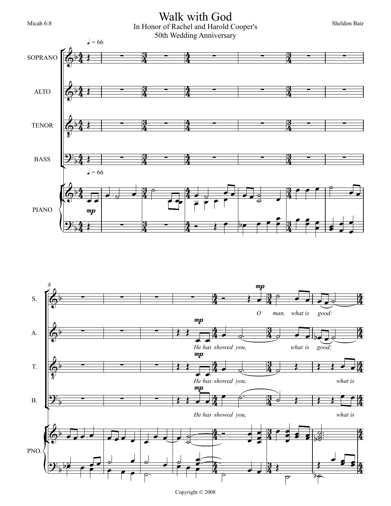## Micah 6:8 Sheldon Bair<br>
In Honor of Rachel and Harold Cooper's Sheldon Bair 50th Wedding Anniversary Walk with God





Copyright © 2008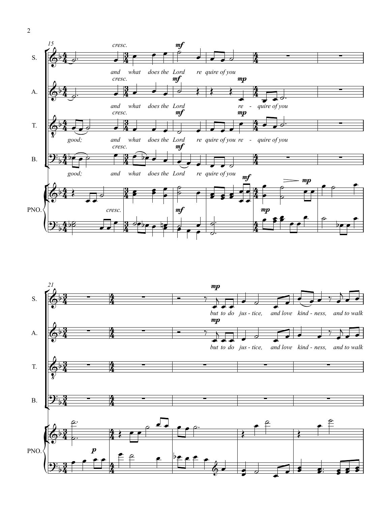